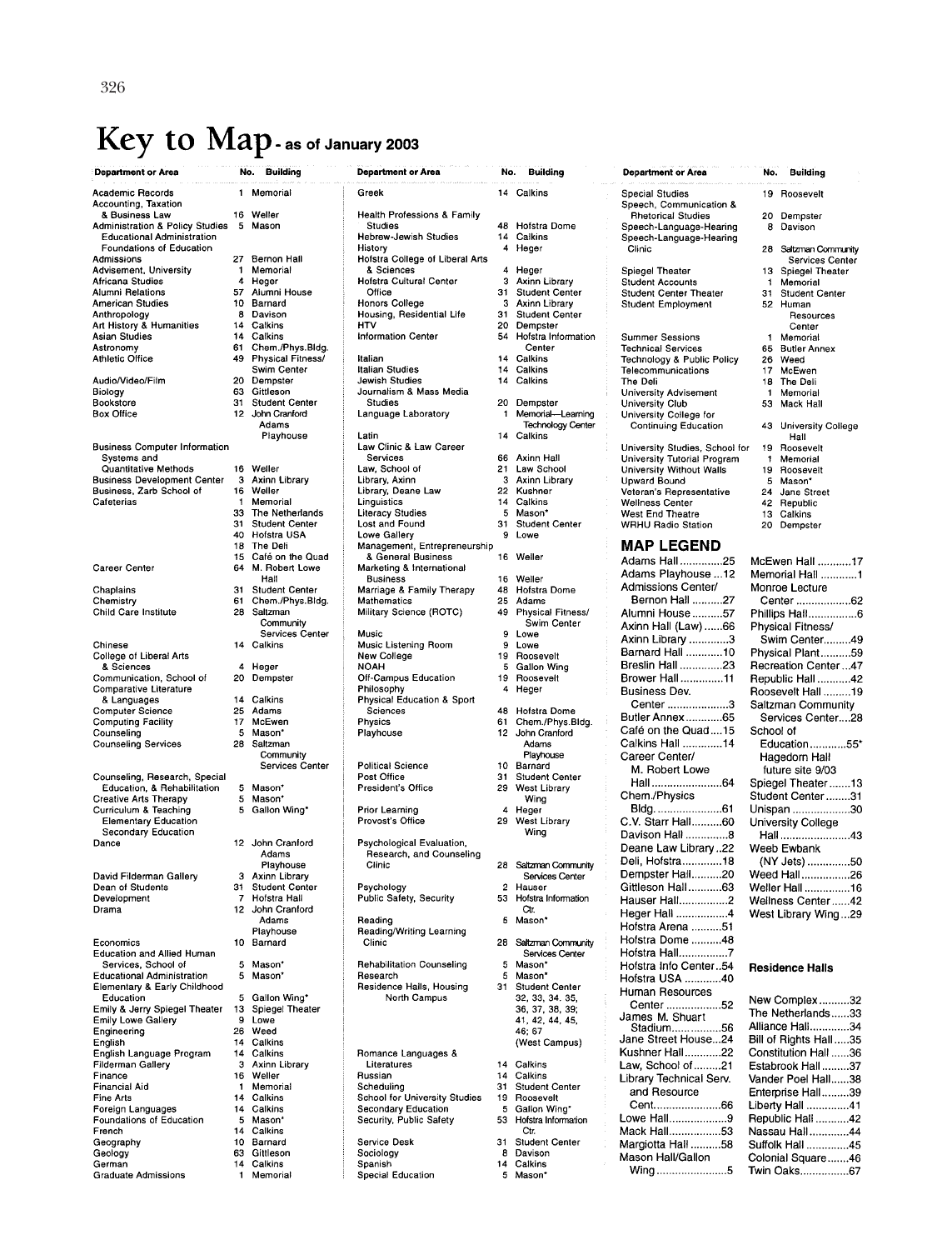## **Key to Map- as of January <sup>2003</sup>**

| $\omega = \omega_{\rm{max}}$ , $\omega = \omega_{\rm{max}}$   |                    |                                          |                                                       |          |                                          | $\label{eq:1.1} \ldots \ldots \hspace{1.5cm} \ldots \hspace{1.5cm} \ldots \hspace{1.5cm} \ldots \hspace{1.5cm} \ldots \hspace{1.5cm} \ldots \hspace{1.5cm} \ldots \hspace{1.5cm} \ldots \hspace{1.5cm} \ldots \hspace{1.5cm} \ldots \hspace{1.5cm} \ldots \hspace{1.5cm} \ldots \hspace{1.5cm} \ldots \hspace{1.5cm} \ldots \hspace{1.5cm} \ldots \hspace{1.5cm} \ldots \hspace{1.5cm} \ldots \hspace{1.5cm} \ldots \$ |                      |                                            |
|---------------------------------------------------------------|--------------------|------------------------------------------|-------------------------------------------------------|----------|------------------------------------------|------------------------------------------------------------------------------------------------------------------------------------------------------------------------------------------------------------------------------------------------------------------------------------------------------------------------------------------------------------------------------------------------------------------------|----------------------|--------------------------------------------|
| Academic Records<br>Accounting, Taxation                      |                    | 1 Memorial                               | Greek                                                 |          | 14 Calkins                               | <b>Special Studies</b><br>Speech, Communication &                                                                                                                                                                                                                                                                                                                                                                      |                      | 19 Roosevelt                               |
| & Business Law<br>Administration & Policy Studies 5 Mason     |                    | 16 Weller                                | Health Professions & Family<br><b>Studies</b>         |          | 48 Hofstra Dome                          | <b>Rhetorical Studies</b><br>Speech-Language-Hearing                                                                                                                                                                                                                                                                                                                                                                   | 8                    | 20 Dempster<br>Davison                     |
| <b>Educational Administration</b><br>Foundations of Education |                    |                                          | Hebrew-Jewish Studies<br>History                      | 14<br>4  | Calkins<br>Heger                         | Speech-Language-Hearing<br>Clinic                                                                                                                                                                                                                                                                                                                                                                                      |                      | 28 Saltzman Community                      |
| Admissions<br>Advisement, University                          | $\mathbf{1}$       | 27 Bernon Hall<br>Memorial               | Hofstra College of Liberal Arts<br>& Sciences         |          | 4 Heger                                  | Spiegel Theater                                                                                                                                                                                                                                                                                                                                                                                                        |                      | Services Center<br>13 Spiegel Theater      |
| Africana Studies                                              | 4                  | Heger                                    | Hofstra Cultural Center                               |          | 3 Axinn Library                          | <b>Student Accounts</b>                                                                                                                                                                                                                                                                                                                                                                                                | $\ddot{\phantom{1}}$ | Memorial                                   |
| Alumni Relations                                              | 57                 | Alumni House                             | Office                                                |          | 31 Student Center                        | Student Center Theater                                                                                                                                                                                                                                                                                                                                                                                                 |                      | 31 Student Center                          |
| American Studies<br>Anthropology                              | 10<br>8            | Barnard<br>Davison                       | <b>Honors College</b><br>Housing, Residential Life    | 31       | 3 Axinn Library<br><b>Student Center</b> | <b>Student Employment</b>                                                                                                                                                                                                                                                                                                                                                                                              |                      | 52 Human                                   |
| Art History & Humanities                                      | 14                 | Calkins                                  | <b>HTV</b>                                            | 20       | Dempster                                 |                                                                                                                                                                                                                                                                                                                                                                                                                        |                      | Resources<br>Center                        |
| Asian Studies                                                 |                    | 14 Calkins                               | <b>Information Center</b>                             | 54       | Hofstra Information                      | <b>Summer Sessions</b>                                                                                                                                                                                                                                                                                                                                                                                                 |                      | 1 Memorial                                 |
| Astronomy                                                     |                    | 61 Chem./Phys.Bldg.                      |                                                       |          | Center                                   | <b>Technical Services</b>                                                                                                                                                                                                                                                                                                                                                                                              | 65                   | <b>Butler Annex</b>                        |
| Athletic Office                                               |                    | 49 Physical Fitness/<br>Swim Center      | Italian<br><b>Italian Studies</b>                     | 14       | 14 Calkins<br>Calkins                    | Technology & Public Policy<br>Telecommunications                                                                                                                                                                                                                                                                                                                                                                       | 26                   | Weed<br>17 McEwen                          |
| Audio/Video/Film                                              |                    | 20 Dempster                              | Jewish Studies                                        | 14       | Calkins                                  | The Deli                                                                                                                                                                                                                                                                                                                                                                                                               |                      | 18 The Deli                                |
| Biology                                                       |                    | 63 Gittleson                             | Journalism & Mass Media                               |          |                                          | University Advisement                                                                                                                                                                                                                                                                                                                                                                                                  | -1.                  | Memorial                                   |
| Bookstore<br>Box Office                                       |                    | 31 Student Center<br>12 John Cranford    | <b>Studies</b><br>Language Laboratory                 | 1        | 20 Dempster<br>Memorial-Learning         | University Club<br>University College for                                                                                                                                                                                                                                                                                                                                                                              | 53                   | Mack Hall                                  |
|                                                               |                    | Adams                                    |                                                       |          | <b>Technology Center</b>                 | Continuing Education                                                                                                                                                                                                                                                                                                                                                                                                   |                      | 43 University College                      |
|                                                               |                    | Playhouse                                | Latin                                                 |          | 14 Calkins                               |                                                                                                                                                                                                                                                                                                                                                                                                                        |                      | Hall                                       |
| <b>Business Computer Information</b>                          |                    |                                          | Law Clinic & Law Career                               |          |                                          | University Studies, School for                                                                                                                                                                                                                                                                                                                                                                                         |                      | 19 Roosevelt                               |
| Systems and<br>Quantitative Methods                           |                    | 16 Weller                                | Services<br>Law, School of                            |          | 66 Axinn Hall<br>21 Law School           | University Tutorial Program<br><b>University Without Walls</b>                                                                                                                                                                                                                                                                                                                                                         | $\mathbf{1}$         | Memorial<br>19 Roosevelt                   |
| Business Development Center                                   |                    | 3 Axinn Library                          | Library, Axinn                                        | 3        | Axinn Library                            | <b>Upward Bound</b>                                                                                                                                                                                                                                                                                                                                                                                                    |                      | 5 Mason*                                   |
| Business, Zarb School of                                      |                    | 16 Weller                                | Library, Deane Law                                    |          | 22 Kushner                               | Veteran's Representative                                                                                                                                                                                                                                                                                                                                                                                               |                      | 24 Jane Street                             |
| Cafeterias                                                    | $\mathbf{1}$<br>33 | Memorial<br>The Netherlands              | Linguistics<br><b>Literacy Studies</b>                | 5        | 14 Calkins<br>Mason*                     | <b>Wellness Center</b><br>West End Theatre                                                                                                                                                                                                                                                                                                                                                                             | 42                   | Republic<br>13 Calkins                     |
|                                                               | 31                 | <b>Student Center</b>                    | Lost and Found                                        | 31       | <b>Student Center</b>                    | <b>WRHU Radio Station</b>                                                                                                                                                                                                                                                                                                                                                                                              |                      | 20 Dempster                                |
|                                                               |                    | 40 Hofstra USA                           | Lowe Gallery                                          |          | 9 Lowe                                   |                                                                                                                                                                                                                                                                                                                                                                                                                        |                      |                                            |
|                                                               |                    | 18 The Deli                              | Management, Entrepreneurship                          |          |                                          | <b>MAP LEGEND</b>                                                                                                                                                                                                                                                                                                                                                                                                      |                      |                                            |
| Career Center                                                 |                    | 15 Café on the Quad<br>64 M. Robert Lowe | & General Business<br>Marketing & International       |          | 16 Weller                                | Adams Hall25                                                                                                                                                                                                                                                                                                                                                                                                           |                      | McEwen Hall 17                             |
|                                                               |                    | Hall                                     | <b>Business</b>                                       |          | 16 Weller                                | Adams Playhouse 12                                                                                                                                                                                                                                                                                                                                                                                                     |                      | Memorial Hall 1                            |
| Chaplains                                                     | 31                 | <b>Student Center</b>                    | Marriage & Family Therapy                             |          | 48 Hofstra Dome                          | Admissions Center/                                                                                                                                                                                                                                                                                                                                                                                                     |                      | Monroe Lecture                             |
| Chemistry<br>Child Care Institute                             |                    | 61 Chem./Phys.Bldg.<br>28 Saltzman       | <b>Mathematics</b><br>Military Science (ROTC)         |          | 25 Adams<br>49 Physical Fitness/         | Bernon Hall 27                                                                                                                                                                                                                                                                                                                                                                                                         |                      | Center 62                                  |
|                                                               |                    | Community                                |                                                       |          | Swim Center                              | Alumni House 57<br>Axinn Hall (Law) 66                                                                                                                                                                                                                                                                                                                                                                                 |                      | Phillips Hall6<br><b>Physical Fitness/</b> |
|                                                               |                    | <b>Services Center</b>                   | Music                                                 |          | 9 Lowe                                   | Axinn Library 3                                                                                                                                                                                                                                                                                                                                                                                                        |                      | Swim Center49                              |
| Chinese                                                       |                    | 14 Calkins                               | Music Listening Room                                  | 9        | Lowe                                     | Barnard Hall 10                                                                                                                                                                                                                                                                                                                                                                                                        |                      | Physical Plant59                           |
| College of Liberal Arts<br>& Sciences                         |                    | 4 Heger                                  | New College<br><b>NOAH</b>                            | 19<br>5  | Roosevelt<br>Gallon Wing                 | Breslin Hall 23                                                                                                                                                                                                                                                                                                                                                                                                        |                      | Recreation Center47                        |
| Communication, School of                                      |                    | 20 Dempster                              | Off-Campus Education                                  |          | 19 Roosevelt                             | Brower Hall11                                                                                                                                                                                                                                                                                                                                                                                                          |                      | Republic Hall42                            |
| Comparative Literature                                        |                    |                                          | Philosophy                                            | 4        | Heger                                    | Business Dev.                                                                                                                                                                                                                                                                                                                                                                                                          |                      | Roosevelt Hall 19                          |
| & Languages<br>Computer Science                               |                    | 14 Calkins<br>25 Adams                   | Physical Education & Sport<br>Sciences                |          | 48 Hofstra Dome                          | Center 3                                                                                                                                                                                                                                                                                                                                                                                                               |                      | Saltzman Community                         |
| Computing Facility                                            |                    | 17 McEwen                                | Physics                                               | 61       | Chem./Phys.Bldg.                         | Butler Annex65                                                                                                                                                                                                                                                                                                                                                                                                         |                      | Services Center28                          |
| Counseling                                                    | 5                  | Mason*                                   | Playhouse                                             |          | 12 John Cranford                         | Café on the Quad15                                                                                                                                                                                                                                                                                                                                                                                                     | School of            |                                            |
| Counseling Services                                           |                    | 28 Saltzman<br>Community                 |                                                       |          | Adams<br>Playhouse                       | Calkins Hall 14<br>Career Center/                                                                                                                                                                                                                                                                                                                                                                                      |                      | Education55*                               |
|                                                               |                    | Services Center                          | Political Science                                     |          | 10 Barnard                               | M. Robert Lowe                                                                                                                                                                                                                                                                                                                                                                                                         |                      | Hagedorn Hall<br>future site 9/03          |
| Counseling, Research, Special                                 |                    |                                          | Post Office                                           | 31       | <b>Student Center</b>                    | Hall64                                                                                                                                                                                                                                                                                                                                                                                                                 |                      | Spiegel Theater13                          |
| Education, & Rehabilitation<br><b>Creative Arts Therapy</b>   |                    | 5 Mason*<br>5 Mason*                     | President's Office                                    | 29       | West Library<br>Wing                     | Chem./Physics                                                                                                                                                                                                                                                                                                                                                                                                          |                      | Student Center31                           |
| Curriculum & Teaching                                         |                    | 5 Gallon Wing*                           | Prior Learning                                        |          | 4 Heger                                  |                                                                                                                                                                                                                                                                                                                                                                                                                        |                      | Unispan 30                                 |
| <b>Elementary Education</b>                                   |                    |                                          | Provosťs Office                                       | 29       | West Library                             | C.V. Starr Hall60                                                                                                                                                                                                                                                                                                                                                                                                      |                      | University College                         |
| Secondary Education                                           |                    |                                          |                                                       |          | Wing                                     | Davison Hall8                                                                                                                                                                                                                                                                                                                                                                                                          |                      | Hall43                                     |
| Dance                                                         |                    | 12 John Cranford<br>Adams                | Psychological Evaluation,<br>Research, and Counseling |          |                                          | Deane Law Library22                                                                                                                                                                                                                                                                                                                                                                                                    |                      | Weeb Ewbank                                |
|                                                               |                    | Playhouse                                | Clinic                                                |          | 28 Saltzman Community                    | Deli, Hofstra18                                                                                                                                                                                                                                                                                                                                                                                                        |                      | (NY Jets) 50                               |
| David Filderman Gallery                                       |                    | 3 Axinn Library                          |                                                       |          | Services Center                          | Dempster Hall20                                                                                                                                                                                                                                                                                                                                                                                                        |                      | Weed Hall26                                |
| Dean of Students<br>Development                               |                    | 31 Student Center<br>7 Hofstra Hall      | Psychology<br>Public Safety, Security                 |          | 2 Hauser<br>53 Hofstra Information       | Gittleson Hall63                                                                                                                                                                                                                                                                                                                                                                                                       |                      | Weller Hall 16                             |
| Drama                                                         |                    | 12 John Cranford                         |                                                       |          | Ctr.                                     | Hauser Hall2<br>Heger Hall 4                                                                                                                                                                                                                                                                                                                                                                                           |                      | Wellness Center42<br>West Library Wing29   |
|                                                               |                    | Adams                                    | Reading                                               | 5        | Mason*                                   | Hofstra Arena 51                                                                                                                                                                                                                                                                                                                                                                                                       |                      |                                            |
|                                                               | 10                 | Playhouse<br>Barnard                     | Reading/Writing Learning                              | 28       |                                          | Hofstra Dome 48                                                                                                                                                                                                                                                                                                                                                                                                        |                      |                                            |
| Economics<br>Education and Allied Human                       |                    |                                          | Clinic                                                |          | Saltzman Community<br>Services Center    | Hofstra Hall7                                                                                                                                                                                                                                                                                                                                                                                                          |                      |                                            |
| Services, School of                                           |                    | 5 Mason*                                 | Rehabilitation Counseling                             | 5        | Mason*                                   | Hofstra Info Center54                                                                                                                                                                                                                                                                                                                                                                                                  |                      | <b>Residence Halls</b>                     |
| Educational Administration                                    | 5                  | Mason*                                   | Research                                              | 5        | Mason*                                   | Hofstra USA 40                                                                                                                                                                                                                                                                                                                                                                                                         |                      |                                            |
| Elementary & Early Childhood<br>Education                     |                    | 5 Gallon Wing*                           | Residence Halls, Housing<br>North Campus              | 31       | Student Center<br>32, 33, 34, 35,        | <b>Human Resources</b>                                                                                                                                                                                                                                                                                                                                                                                                 |                      |                                            |
| Emily & Jerry Spiegel Theater                                 | 13                 | Spiegel Theater                          |                                                       |          | 36, 37, 38, 39,                          | Center 52                                                                                                                                                                                                                                                                                                                                                                                                              |                      | New Complex32<br>The Netherlands33         |
| Emily Lowe Gallery                                            | 9                  | Lowe                                     |                                                       |          | 41, 42, 44, 45,                          | James M. Shuart<br>Stadium56                                                                                                                                                                                                                                                                                                                                                                                           |                      | Alliance Hall34                            |
| Engineering                                                   | 26                 | Weed                                     |                                                       |          | 46; 67                                   | Jane Street House24                                                                                                                                                                                                                                                                                                                                                                                                    |                      | Bill of Rights Hall35                      |
| English<br>English Language Program                           | 14<br>14           | Calkins<br>Calkins                       | Romance Languages &                                   |          | (West Campus)                            | Kushner Hall22                                                                                                                                                                                                                                                                                                                                                                                                         |                      | Constitution Hall36                        |
| Filderman Gallery                                             | з                  | Axinn Library                            | Literatures                                           |          | 14 Calkins                               | Law, School of 21                                                                                                                                                                                                                                                                                                                                                                                                      |                      | Estabrook Hall37                           |
| Finance                                                       | 16                 | Weller                                   | Russian                                               | 14       | Calkins                                  | Library Technical Serv.                                                                                                                                                                                                                                                                                                                                                                                                |                      | Vander Poel Hall38                         |
| Financial Aid<br>Fine Arts                                    | -1<br>14           | Memorial<br>Calkins                      | Scheduling<br>School for University Studies           | 31<br>19 | <b>Student Center</b><br>Roosevelt       | and Resource                                                                                                                                                                                                                                                                                                                                                                                                           |                      | Enterprise Hall39                          |
| Foreign Languages                                             | 14                 | Calkins                                  | Secondary Education                                   | 5        | Gallon Wing*                             | Cent66                                                                                                                                                                                                                                                                                                                                                                                                                 |                      | Liberty Hall 41                            |
| Foundations of Education                                      | 5                  | Mason*                                   | Security, Public Safety                               | 53       | Hofstra Information                      | Lowe Hall9                                                                                                                                                                                                                                                                                                                                                                                                             |                      | Republic Hall42                            |
| French                                                        | 14                 | Calkins                                  |                                                       |          | Ctr.                                     | Mack Hall53                                                                                                                                                                                                                                                                                                                                                                                                            |                      | Nassau Hall44                              |
| Geography<br>Geology                                          | 10<br>63           | Barnard<br>Gittleson                     | Service Desk<br>Sociology                             | 31<br>8  | <b>Student Center</b><br>Davison         | Margiotta Hall 58                                                                                                                                                                                                                                                                                                                                                                                                      |                      | Suffolk Hall 45                            |
| German                                                        | 14                 | Calkins                                  | Spanish                                               | 14       | Calkins                                  | Mason Hall/Gallon                                                                                                                                                                                                                                                                                                                                                                                                      |                      | Colonial Square46                          |
| Graduate Admissions                                           | 1                  | Memorial                                 | Special Education                                     | 5        | Mason*                                   | Wing5                                                                                                                                                                                                                                                                                                                                                                                                                  |                      | Twin Oaks67                                |
|                                                               |                    |                                          |                                                       |          |                                          |                                                                                                                                                                                                                                                                                                                                                                                                                        |                      |                                            |

| No.      |              | Building                            | Department or Area                             | No.      | Bu                  |
|----------|--------------|-------------------------------------|------------------------------------------------|----------|---------------------|
| 1        |              | Memorial                            | Greek                                          | 14       | Calkir              |
| 16       | Weller       |                                     | Health Professions & Family                    |          |                     |
| 5        |              | Mason                               | Studies                                        | 48       | Hofst               |
|          |              |                                     | <b>Hebrew-Jewish Studies</b><br>History        | 14<br>4  | Calkir<br>Hege      |
| 27       |              | Bernon Hall                         | Hofstra College of Liberal Arts                |          |                     |
| 1        |              | Memorial                            | & Sciences                                     | 4        | Hege                |
| 4<br>57  | Heger        | Alumni House                        | Hofstra Cultural Center<br>Office              | 3<br>31  | Axinn<br>Stude      |
| 10       |              | Barnard                             | <b>Honors College</b>                          | з        | Axinn               |
| 8        |              | Davison                             | Housing, Residential Life                      | 31       | Stude               |
| 14<br>14 |              | Calkins<br>Calkins                  | HTV<br><b>Information Center</b>               | 20<br>54 | Demp<br>Hofstr      |
| 61       |              | Chem./Phys.Bldg.                    |                                                |          | Cer                 |
| 49       |              | Physical Fitness/                   | Italian                                        | 14       | Calkir              |
| 20       |              | Swim Center<br>Dempster             | <b>Italian Studies</b><br>Jewish Studies       | 14<br>14 | Calkir<br>Calkir    |
| 63       |              | Gittleson                           | Journalism & Mass Media                        |          |                     |
| 31<br>12 |              | Student Center                      | Studies                                        | 20       | Demp<br>Memo        |
|          |              | John Cranford<br>Adams              | Language Laboratory                            | 1        | Tech                |
|          |              | Playhouse                           | Latin                                          | 14       | Calkir              |
|          |              |                                     | Law Clinic & Law Career<br>Services            | 66       | Axinn               |
| 16       | Weller       |                                     | Law, School of                                 | 21       | Law S               |
| з        |              | Axinn Library                       | Library, Axinn                                 | 3        | Axinn               |
| 16<br>1  | Weller       | Memorial                            | Library, Deane Law<br>Linguistics              | 22<br>14 | Kushr<br>Calkir     |
| 33       |              | The Netherlands                     | <b>Literacy Studies</b>                        | 5        | Maso                |
| 31       |              | <b>Student Center</b>               | Lost and Found                                 | 31       | Stude               |
| 40<br>18 |              | Hofstra USA<br>The Deli             | Lowe Gallery<br>Management, Entrepreneurship   | 9        | Lowe                |
| 15       |              | Café on the Quad                    | & General Business                             | 16       | Welle               |
| 64       |              | M. Robert Lowe                      | Marketing & International                      |          |                     |
| 31       |              | Hall<br><b>Student Center</b>       | Business<br>Marriage & Family Therapy          | 16<br>48 | Welle<br>Hofst      |
| 61       |              | Chem./Phys.Bldg.                    | Mathematics                                    | 25       | Adam                |
| 28       |              | Saltzman                            | Military Science (ROTC)                        | 49       | Physi<br>Swi        |
|          |              | Community<br><b>Services Center</b> | Music                                          | 9        | Lowe                |
| 14       |              | Calkins                             | Music Listening Room                           | 9        | Lowe                |
| 4        | Heger        |                                     | New College<br><b>NOAH</b>                     | 19<br>5  | Roos<br>Gallor      |
| 20       |              | Dempster                            | Off-Campus Education                           | 19       | <b>Roose</b>        |
|          |              |                                     | Philosophy                                     | 4        | Heger               |
| 14<br>25 |              | Calkins<br>Adams                    | Physical Education & Sport<br>Sciences         | 48       | Hofsti              |
| 17       |              | McEwen                              | Physics                                        | 61       | Chem                |
| 5        |              | Mason*                              | Playhouse                                      | 12       | John (              |
| 28       |              | Saltzman<br>Community               |                                                |          | Ada<br>Play         |
|          |              | Services Center                     | Political Science                              | 10       | Barna               |
| 5        |              | Mason*                              | Post Office<br>President's Office              | 31<br>29 | Stude<br>West       |
| 5        |              | Mason*                              |                                                |          | Win                 |
| 5        |              | Gallon Wing*                        | Prior Learning                                 | 4        | Heger               |
|          |              |                                     | Provost's Office                               | 29       | West<br>Win         |
| 12       |              | John Cranford                       | Psychological Evaluation,                      |          |                     |
|          |              | Adams                               | Research, and Counseling<br>Clinic             |          |                     |
| 3        |              | Playhouse<br><b>Axinn Library</b>   |                                                | 28       | Saltzm<br>Serv      |
| 31       |              | <b>Student Center</b>               | Psychology                                     | 2        | Hause               |
| 7<br>12  |              | Hofstra Hall<br>John Cranford       | Public Safety, Security                        | 53       | Hofstra<br>Ctr.     |
|          |              | Adams                               | Reading                                        | 5        | Masor               |
|          |              | Playhouse                           | Reading/Writing Learning                       |          |                     |
| 10       |              | Barnard                             | Clinic                                         | 28       | Saltzm<br>Serv      |
| 5        |              | Mason*                              | <b>Rehabilitation Counseling</b>               | 5        | Masor               |
| 5        |              | Mason*                              | Research                                       | 5        | Masor               |
| 5        |              | Gallon Wing*                        | Residence Halls, Housing<br>North Campus       | 31       | Stude<br>32, 33     |
| 13       |              | Spiegel Theater                     |                                                |          | 36, 37              |
| 9<br>26  | Lowe<br>Weed |                                     |                                                |          | 41, 42<br>46; 67    |
| 14       |              | Calkins                             |                                                |          | (West               |
| 14       |              | Calkins                             | Romance Languages &                            |          |                     |
| з        |              | Axinn Library<br>Weller             | Literatures<br>Russian                         | 14<br>14 | Calkir              |
| 16<br>1. |              | Memorial                            | Scheduling                                     | 31       | Calkir<br>Stude     |
|          |              | 14 Calkins                          | School for University Studies                  | 19       | Roose               |
| 5        |              | 14 Calkins<br>Mason*                | Secondary Education<br>Security, Public Safety | 53       | 5 Gallor<br>Hofstra |
|          |              | 14 Calkins                          |                                                |          | Ctr.                |
|          |              | 10 Barnard                          | Service Desk                                   | 31       | Stude               |
|          |              | 63 Gittleson<br>14 Colkine          | Sociology<br>Snanich                           | 8<br>14  | Davis<br>Colkin     |

| Hofstra Dome<br>Calkins<br>Heger                                                                                                                  |                                                                                                                      |
|---------------------------------------------------------------------------------------------------------------------------------------------------|----------------------------------------------------------------------------------------------------------------------|
| Heger<br>Axinn Library<br><b>Student Center</b><br>Axinn Library<br><b>Student Center</b><br>Dempster<br>Hofstra Information<br>Center<br>Calkins |                                                                                                                      |
| Calkins                                                                                                                                           |                                                                                                                      |
| <b>Technology Center</b><br>Calkins                                                                                                               |                                                                                                                      |
| Axinn Hall<br>Law School<br>Axinn Library<br>Kushner<br>Calkins<br>Mason*<br><b>Student Center</b><br>Lowe                                        |                                                                                                                      |
| Weller                                                                                                                                            |                                                                                                                      |
| Weller<br><b>Hofstra Dome</b><br>Adams<br><b>Physical Fitness/</b>                                                                                |                                                                                                                      |
| Lowe<br>Lowe<br>Roosevelt<br>Gallon Wing<br>$\ddot{19}$<br>Roosevelt<br>Heger                                                                     |                                                                                                                      |
| Hofstra Dome<br>Chem./Phys.Bldg.<br>John Cranford<br>Adams                                                                                        |                                                                                                                      |
| Barnard<br><b>Student Center</b><br>West Library<br>Wing                                                                                          |                                                                                                                      |
| Heger<br>West Library<br>Wing                                                                                                                     |                                                                                                                      |
| Saltzman Community                                                                                                                                |                                                                                                                      |
| Hauser<br>Hofstra Information<br>Ctr.                                                                                                             |                                                                                                                      |
| Saltzman Community                                                                                                                                | į                                                                                                                    |
| Mason*<br>Mason*<br>Student Center<br>32, 33, 34. 35,<br>36, 37, 38, 39;<br>41, 42, 44, 45,<br>46;<br>67<br>(West Campus)                         | The company's company's company's company's company's company's                                                      |
| Calkins<br>Calkins<br><b>Student Center</b><br>Roosevelt<br>Gallon Wing*<br>Hofstra Information<br>Ctr.<br>Student Center<br>Davison<br>Calkins   | $\overline{\phantom{a}}$                                                                                             |
|                                                                                                                                                   | Calkins<br>Dempster<br>Memorial-Learning<br>Swim Center<br>Playhouse<br>Services Center<br>Mason*<br>Services Center |

| <b>Department or Area</b>                                                         | No.      | <b>Building</b>                              | <b>Department or Area</b>                       | No.      | <b>Building</b>                               | <b>Department or Area</b>                                | No.                | <b>Building</b>                       |
|-----------------------------------------------------------------------------------|----------|----------------------------------------------|-------------------------------------------------|----------|-----------------------------------------------|----------------------------------------------------------|--------------------|---------------------------------------|
| Academic Records<br>Accounting, Taxation                                          | 1        | Memorial                                     | Greek                                           |          | 14 Calkins                                    | <b>Special Studies</b><br>Speech, Communication &        |                    | 19 Roosevelt                          |
| & Business Law                                                                    |          | 16 Weller                                    | <b>Health Professions &amp; Family</b>          |          |                                               | <b>Rhetorical Studies</b>                                |                    | 20 Dempster                           |
| <b>Administration &amp; Policy Studies 5</b><br><b>Educational Administration</b> |          | Mason                                        | Studies<br><b>Hebrew-Jewish Studies</b>         | 48<br>14 | Hofstra Dome<br>Calkins                       | Speech-Language-Hearing<br>Speech-Language-Hearing       | 8                  | Davison                               |
| Foundations of Education<br>Admissions                                            |          | 27 Bernon Hall                               | History<br>Hofstra College of Liberal Arts      | 4        | Heger                                         | Clinic                                                   | 28                 | Saltzman Community<br>Services Center |
| Advisement, University                                                            | 1<br>4   | Memorial                                     | & Sciences                                      | 4        | Heger                                         | Spiegel Theater                                          |                    | 13 Spiegel Theater                    |
| Africana Studies<br>Alumni Relations                                              | 57       | Heger<br>Alumni House                        | Hofstra Cultural Center<br>Office               | 3<br>31  | Axinn Library<br><b>Student Center</b>        | <b>Student Accounts</b><br><b>Student Center Theater</b> | $\mathbf{1}$<br>31 | Memorial<br><b>Student Center</b>     |
| American Studies                                                                  | 10       | Barnard                                      | Honors College                                  | з        | Axinn Library                                 | Student Employment                                       |                    | 52 Human                              |
| Anthropology                                                                      | 8        | Davison                                      | Housing, Residential Life                       | 31       | <b>Student Center</b>                         |                                                          |                    | Resources                             |
| Art History & Humanities                                                          | 14       | Calkins                                      | HTV                                             | 20       | Dempster                                      |                                                          |                    | Center                                |
| Asian Studies                                                                     | 14       | Calkins                                      | <b>Information Center</b>                       | 54       | Hofstra Information<br>Center                 | <b>Summer Sessions</b>                                   | -1                 | Memorial                              |
| Astronomy<br>Athletic Office                                                      | 61<br>49 | Chem./Phys.Bldg.<br><b>Physical Fitness/</b> | Italian                                         | 14       | Calkins                                       | <b>Technical Services</b><br>Technology & Public Policy  | 65<br>26           | <b>Butler Annex</b><br>Weed           |
|                                                                                   |          | Swim Center                                  | <b>Italian Studies</b>                          | 14       | Calkins                                       | Telecommunications                                       | 17                 | McEwen                                |
| Audio/Video/Film                                                                  | 20       | Dempster                                     | Jewish Studies                                  | 14       | Calkins                                       | The Deli                                                 | 18                 | The Deli                              |
| Biology                                                                           | 63       | Gittleson                                    | Journalism & Mass Media                         |          |                                               | <b>University Advisement</b>                             | -1                 | Memorial                              |
| Bookstore                                                                         | 31       | <b>Student Center</b>                        | <b>Studies</b>                                  |          | 20 Dempster                                   | University Club                                          | 53                 | Mack Hall                             |
| <b>Box Office</b>                                                                 |          | 12 John Cranford<br>Adams                    | Language Laboratory                             | 1        | Memorial-Learning<br><b>Technology Center</b> | University College for<br>Continuing Education           |                    |                                       |
|                                                                                   |          | Playhouse                                    | Latin                                           | 14       | Calkins                                       |                                                          |                    | 43 University College<br>Hall         |
| <b>Business Computer Information</b>                                              |          |                                              | Law Clinic & Law Career                         |          |                                               | University Studies, School for                           | 19                 | Roosevelt                             |
| Systems and                                                                       |          |                                              | <b>Services</b>                                 | 66       | Axinn Hall                                    | University Tutorial Program                              | $\mathbf{1}$       | Memorial                              |
| Quantitative Methods                                                              |          | 16 Weller                                    | Law, School of                                  | 21       | Law School                                    | <b>University Without Walls</b>                          | 19                 | Roosevelt                             |
| <b>Business Development Center</b>                                                | -3       | <b>Axinn Library</b>                         | Library, Axinn                                  | з        | Axinn Library                                 | <b>Upward Bound</b>                                      | 5                  | Mason*                                |
| Business, Zarb School of<br>Cafeterias                                            | 16<br>1  | Weller<br>Memorial                           | Library, Deane Law<br>Linguistics               | 22<br>14 | Kushner<br>Calkins                            | Veteran's Representative<br><b>Wellness Center</b>       | 24<br>42           | Jane Street<br>Republic               |
|                                                                                   | 33       | The Netherlands                              | <b>Literacy Studies</b>                         | 5        | Mason*                                        | West End Theatre                                         | 13                 | Calkins                               |
|                                                                                   | 31       | <b>Student Center</b>                        | Lost and Found                                  | 31       | <b>Student Center</b>                         | <b>WRHU Radio Station</b>                                |                    | 20 Dempster                           |
|                                                                                   | 40       | Hofstra USA                                  | Lowe Gallery                                    | 9        | Lowe                                          |                                                          |                    |                                       |
|                                                                                   | 18       | The Deli                                     | Management, Entrepreneurship                    |          |                                               | <b>MAP LEGEND</b>                                        |                    |                                       |
| Career Center                                                                     | 15<br>64 | Café on the Quad<br>M. Robert Lowe           | & General Business<br>Marketing & International | 16       | Weller                                        | Adams Hall25                                             |                    | McEwen Hall 17                        |
|                                                                                   |          | Hall                                         | <b>Business</b>                                 | 16       | Weller                                        | Adams Playhouse 12                                       |                    | Memorial Hall 1                       |
| Chaplains                                                                         | 31       | <b>Student Center</b>                        | Marriage & Family Therapy                       | 48       | <b>Hofstra Dome</b>                           | Admissions Center/                                       |                    | Monroe Lecture                        |
| Chemistry                                                                         | 61       | Chem./Phys.Bldg.                             | Mathematics                                     | 25       | Adams                                         | Bernon Hall 27                                           |                    | Center 62                             |
| Child Care Institute                                                              | 28       | Saltzman                                     | Military Science (ROTC)                         | 49       | <b>Physical Fitness/</b>                      | Alumni House57                                           |                    | Phillips Hall6                        |
|                                                                                   |          | Community<br><b>Services Center</b>          |                                                 |          | Swim Center                                   | Axinn Hall (Law) 66                                      |                    | <b>Physical Fitness/</b>              |
| Chinese                                                                           |          | 14 Calkins                                   | Music<br>Music Listening Room                   | 9<br>9   | Lowe<br>Lowe                                  | Axinn Library 3                                          |                    | Swim Center49                         |
| College of Liberal Arts                                                           |          |                                              | New College                                     | 19       | Roosevelt                                     | Barnard Hall 10                                          |                    | Physical Plant59                      |
| & Sciences                                                                        |          | 4 Heger                                      | <b>NOAH</b>                                     | 5        | Gallon Wing                                   | Breslin Hall 23                                          |                    | Recreation Center47                   |
| Communication, School of                                                          | 20       | Dempster                                     | Off-Campus Education                            | 19       | Roosevelt                                     | Brower Hall11                                            |                    | Republic Hall42                       |
| Comparative Literature                                                            |          | 14 Calkins                                   | Philosophy                                      | 4        | Heger                                         | Business Dev.                                            |                    | Roosevelt Hall 19                     |
| & Languages<br>Computer Science                                                   | 25       | Adams                                        | Physical Education & Sport<br>Sciences          | 48       | Hofstra Dome                                  | Center 3                                                 |                    | Saltzman Community                    |
| <b>Computing Facility</b>                                                         | 17       | McEwen                                       | Physics                                         | 61       | Chem./Phys.Bldg.                              | Butler Annex65                                           |                    | Services Center28                     |
| Counseling                                                                        | 5        | Mason*                                       | Playhouse                                       | 12       | John Cranford                                 | Café on the Quad15                                       | School of          |                                       |
| <b>Counseling Services</b>                                                        |          | 28 Saltzman                                  |                                                 |          | Adams                                         | Calkins Hall 14                                          |                    | Education55*                          |
|                                                                                   |          | Community                                    |                                                 |          | Playhouse                                     | Career Center/                                           |                    | Hagedorn Hall                         |
| Counseling, Research, Special                                                     |          | Services Center                              | Political Science<br>Post Office                | 10<br>31 | Barnard<br><b>Student Center</b>              | M. Robert Lowe                                           |                    | future site 9/03                      |
| Education, & Rehabilitation                                                       |          | 5 Mason'                                     | President's Office                              | 29       | West Library                                  | Hall64                                                   |                    | Spiegel Theater13                     |
| <b>Creative Arts Therapy</b>                                                      | 5        | Mason*                                       |                                                 |          | Wing                                          | Chem./Physics                                            |                    | Student Center31                      |
| Curriculum & Teaching                                                             | 5        | Gallon Wing*                                 | Prior Learning                                  |          | 4 Heger                                       |                                                          |                    | Unispan 30                            |
| <b>Elementary Education</b>                                                       |          |                                              | Provost's Office                                | 29       | West Library                                  | C.V. Starr Hall60                                        |                    | University College                    |
| Secondary Education                                                               |          | 12 John Cranford                             | Psychological Evaluation,                       |          | Wing                                          | Davison Hall8                                            |                    | Hall43                                |
| Dance                                                                             |          | Adams                                        | Research, and Counseling                        |          |                                               | Deane Law Library 22                                     |                    | Weeb Ewbank                           |
|                                                                                   |          | Playhouse                                    | Clinic                                          | 28       | Saltzman Community                            | Deli, Hofstra18                                          |                    | (NY Jets) 50                          |
| David Filderman Gallery                                                           | 3        | <b>Axinn Library</b>                         |                                                 |          | Services Center                               | Dempster Hall20                                          |                    | Weed Hall26                           |
| Dean of Students                                                                  | 31       | <b>Student Center</b>                        | Psychology                                      |          | 2 Hauser                                      | Gittleson Hall63                                         |                    | Weller Hall 16                        |
| Development                                                                       |          | 7 Hofstra Hall<br>John Cranford              | Public Safety, Security                         |          | 53 Hofstra Information                        | Hauser Hall2                                             |                    | Wellness Center42                     |
| Drama                                                                             | 12       | Adams                                        | Reading                                         | 5        | Ctr.<br>Mason*                                | Heger Hall 4                                             |                    | West Library Wing29                   |
|                                                                                   |          | Playhouse                                    | Reading/Writing Learning                        |          |                                               | Hofstra Arena 51                                         |                    |                                       |
| Economics                                                                         |          | 10 Barnard                                   | Clinic                                          | 28       | Saltzman Community                            | Hofstra Dome 48                                          |                    |                                       |
| <b>Education and Allied Human</b>                                                 |          |                                              |                                                 |          | Services Center                               | Hofstra Hall7                                            |                    |                                       |
| Services, School of                                                               | 5        | Mason*                                       | <b>Rehabilitation Counseling</b>                | 5        | Mason*                                        | Hofstra Info Center54                                    |                    | <b>Residence Halls</b>                |
| <b>Educational Administration</b><br>Elementary & Early Childhood                 | 5        | Mason*                                       | Research<br>Residence Hails, Housing            | 5<br>31  | Mason*<br>Student Center                      | Hofstra USA 40                                           |                    |                                       |
| Education                                                                         |          | 5 Gallon Wing*                               | North Campus                                    |          | 32, 33, 34, 35,                               | Human Resources                                          |                    | New Complex32                         |
| Emily & Jerry Spiegel Theater                                                     | 13       | Spiegel Theater                              |                                                 |          | 36, 37, 38, 39;                               | Center 52                                                |                    | The Netherlands33                     |
| Emily Lowe Gallery                                                                | 9        | Lowe                                         |                                                 |          | 41, 42, 44, 45,                               | James M. Shuart                                          |                    | Alliance Hall34                       |
| Engineering                                                                       | 26       | Weed                                         |                                                 |          | 46; 67                                        | Stadium56<br>Jane Street House24                         |                    | Bill of Rights Hall35                 |
| English                                                                           | 14       | Calkins                                      |                                                 |          | (West Campus)                                 | Kushner Hall22                                           |                    | Constitution Hall36                   |
| English Language Program<br>Filderman Gallery                                     | 14<br>з  | Calkins<br>Axinn Library                     | Romance Languages &<br>Literatures              | 14       | Calkins                                       | Law, School of 21                                        |                    | Estabrook Hall37                      |
| Finance                                                                           | 16       | Weller                                       | Russian                                         | 14       | Calkins                                       | Library Technical Serv.                                  |                    | Vander Poel Hall38                    |
| <b>Financial Aid</b>                                                              | -1       | Memorial                                     | Scheduling                                      | 31       | <b>Student Center</b>                         | and Resource                                             |                    | Enterprise Hall39                     |
| Fine Arts                                                                         | 14       | Calkins                                      | School for University Studies                   | 19       | Roosevelt                                     | Cent66                                                   |                    |                                       |
| Foreign Languages                                                                 | 14       | Calkins                                      | Secondary Education                             | 5        | Gallon Wing*                                  | Lowe Hall9                                               |                    | Liberty Hall 41<br>Republic Hall42    |
| Foundations of Education<br>French                                                | 5<br>14  | Mason*<br>Calkins                            | Security, Public Safety                         | 53       | Hofstra Information<br>Ctr.                   | Mack Hall53                                              |                    |                                       |
| Geography                                                                         | 10       | Barnard                                      | Service Desk                                    | 31       | Student Center                                |                                                          |                    | Nassau Hall44<br>Suffolk Hall 45      |
| Geology                                                                           | 63       | Gittleson                                    | Sociology                                       | 8        | Davison                                       | Margiotta Hall 58<br>Mason Hall/Gallon                   |                    |                                       |
| German                                                                            |          | 14 Calkins                                   | Spanish                                         |          | 14 Calkins                                    |                                                          |                    | Colonial Square46                     |

| 20<br>8   | Dempster<br>Davison                                                                                                                                                                                                                                                                                                                                                                                                                                                                     |
|-----------|-----------------------------------------------------------------------------------------------------------------------------------------------------------------------------------------------------------------------------------------------------------------------------------------------------------------------------------------------------------------------------------------------------------------------------------------------------------------------------------------|
| 28        | Saltzman Community<br>Services Center                                                                                                                                                                                                                                                                                                                                                                                                                                                   |
| 13        | Spiegel Theater                                                                                                                                                                                                                                                                                                                                                                                                                                                                         |
| t<br>31   | Memorial<br><b>Student Center</b>                                                                                                                                                                                                                                                                                                                                                                                                                                                       |
| 52        | Human                                                                                                                                                                                                                                                                                                                                                                                                                                                                                   |
|           | Resources<br>Center                                                                                                                                                                                                                                                                                                                                                                                                                                                                     |
| 1         | Memorial                                                                                                                                                                                                                                                                                                                                                                                                                                                                                |
| 65<br>26  | <b>Butler Annex</b><br>Weed                                                                                                                                                                                                                                                                                                                                                                                                                                                             |
| 17        | McEwen                                                                                                                                                                                                                                                                                                                                                                                                                                                                                  |
| 18<br>1   | The Deli<br>Memorial                                                                                                                                                                                                                                                                                                                                                                                                                                                                    |
| 53        | Mack Hall                                                                                                                                                                                                                                                                                                                                                                                                                                                                               |
| 43        | <b>University College</b>                                                                                                                                                                                                                                                                                                                                                                                                                                                               |
| 19        | Hall<br>Roosevelt                                                                                                                                                                                                                                                                                                                                                                                                                                                                       |
| 1<br>19   | Memorial                                                                                                                                                                                                                                                                                                                                                                                                                                                                                |
| 5         | Roosevelt<br>Mason*                                                                                                                                                                                                                                                                                                                                                                                                                                                                     |
| 24<br>42  | Jane Street                                                                                                                                                                                                                                                                                                                                                                                                                                                                             |
| 13        | Republic<br>Calkins                                                                                                                                                                                                                                                                                                                                                                                                                                                                     |
| 20        | Dempster                                                                                                                                                                                                                                                                                                                                                                                                                                                                                |
| School of | McEwen Hall 17<br>11<br>Monroe Lecture<br>Center 62<br>Phillips Hall6<br>hysical Fitness/<br>Swim Center49<br>hysical Plant59<br>Recreation Center47<br>Republic Hall 42<br>Roosevelt Hall 19<br>Saltzman Community<br>Services Center28<br>Education<br>…55*<br>Hagedorn Hall<br>future site 9/03<br>Spiegel Theater13<br>Student Center 31<br>Jnispan 30<br><b>Jniversity College</b><br>Hall43<br>Veeb Ewbank<br>(NY Jets) 50<br>Veed Hall26<br>Veller Hall 16<br>Veilness Center 42 |
|           | Vest Library Wing29                                                                                                                                                                                                                                                                                                                                                                                                                                                                     |
|           |                                                                                                                                                                                                                                                                                                                                                                                                                                                                                         |

| New Complex32         |  |
|-----------------------|--|
| The Netherlands33     |  |
| Alliance Hall34       |  |
| Bill of Rights Hall35 |  |
| Constitution Hall36   |  |
| Estabrook Hall37      |  |
| Vander Poel Hall38    |  |
| Enterprise Hall39     |  |
| Liberty Hall 41       |  |
| Republic Hall42       |  |
| Nassau Hall44         |  |
| Suffolk Hall 45       |  |
| Colonial Square46     |  |
| Twin Oaks67           |  |